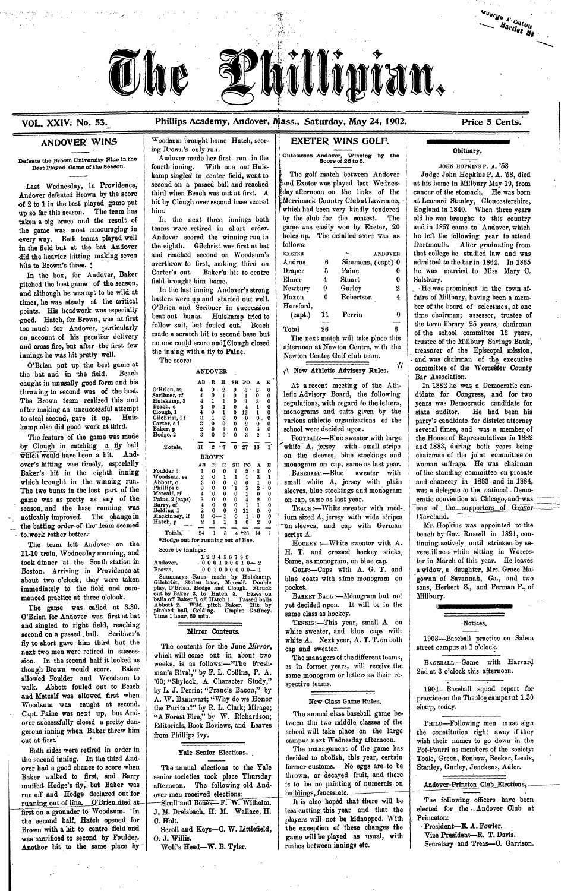

# VOL. XXIV: No. 53. Phillips Academy, Andover, Mass., Saturday, May 24, 1902. Price 5 Cents.

Guarge P. Parties Bartless March

Defeats the Brown University Nine in the Andover made her first run in the Cutclasses Andover, Winning by the Score of 26 to 6.

every way. Both teams played well Andover scored the winning run in under the detailed score was as he left the following year to attend<br>in the field but at the bat Andover the eighth. Gilchrist was first at bat follows: in the field but at the bat Andover the eighth. Gilchrist was first at hat follows:<br>*did the heavier hitting making seven* and reached second on Woodsum's EXETER **ANDOVER** that college he studied law and was did the heavier hitting making seven and reached second on Woodsum's EXETER ANDOVER that college he studied law and was<br>Andrus 6 Simmons, (capt) 0 admitted to the bar in 1864. In 1865

pitched the best game of the season, held brought him home.<br>and although he was ant to be wild at In the last inning Andover's strong Newbury 0 Gurley 2 - He was prominent in the town afand although he was apt to be wild at  $\begin{array}{c|c|c|c|c} \text{in the last number of students were up and started out well.} & \text{Maximum 0} & \text{Robertson} & 4 & \text{fairs of Millbury, having been a mem$ points. His headwork was especially O'Brien and Scribner in succession Horsford,<br>beat out bunts. Huiskamp tried to (capt.) 11 Perrin 0 time chairman; assessor, trustee of good. Hatch, for Brown, was at first can bunt bunts. Huiskamp tried to (capt.) In the chairman; assessor, trustee of too much for Andover, particularly follow suit, but fouled out. Beach  $\begin{array}{c|c|c|c|c|c|c|c} \hline \text{total} & \text{total} & \text{total} & \text{total} & \text{total} & \text{total} & \text{total} & \text{total} & \text{total} & \text{total} & \text{total} & \text{total} & \text{total} & \text{total} & \text{total} & \text{total} & \text{total} & \text{total} & \text{total} & \text{total} & \text{total} &$ on account of his peculiar delivery made a scratch hit to second base but<br>26 of the school committee 12 years, one could score and Clough closed and the match will take place this trustee of the Millbury Savings Bank, and and cross fire, but after the first few no one could score and Clough closed afternoon at Newton Centre, with the trustee of the Millbury Savings Bank, afternoon at Newton Centre, with the trustee of the Episcopal mission,

O'Brien put up the best game at the bat and in the field. Beach caught in unusally good form and his<br>
throwing to second was of the best.<br>
Scribner, rf 4 0 1 0 1 0 1 0 0 letic Advisory Board, the following didate for Congress, and for two The Brown team realized this and

11-10 train, Wednesday morning, and Score by innings:<br>  $\begin{array}{c|c|c|c|c|c|c|c|c} \text{123450789} & & & & \text{123450789} & & & \text{123450789} & & \text{123450789} & & \text{123450789} & & \text{123450789} & & \text{123450789} & & \text{123450789} & & \text{123450789} & & \text{1$ took dinner at the South station in Andover, - **0 0 0** 0 **0 0 o--** 1 2 Same, as monogram, on blue cap. ter in March of this year. He leaves about two o'clock, they were taken Gilchrist, Stolen base, Metcalf. Double blue commediately to the field and com-<br>play, O'Brien, Hodge and Clough. Struck pocket.

pitched ball, Gelding. Umpire Gaffney. Same class as hockey.<br>O'Brien for Andover was first at bat Time I hour, 50, min.<br>TENNIS :-This year, small A once and Motices. and singled to right field, reaching  $\overline{\text{Mirror Contents.}}$  TENNIS:—This year, small A on Notices. second on a passed ball. Scribner's fly to short gave him third but the-white A. Next year, A. T. T. on both 1903—Baseball practice on Salem next two men were retired in success-<br>next two men were retired in success-<br>next two men were retired in successthe contents for the June *Mirror*, <br>next two men were retired in succes-<br> $\frac{1}{2}$  shigh will come out in about two sion. In the second half it looked as eeks, is as folows:-The Fresh-with though Brown would score. Baker man's Rival," by F. L. Collins, P. A.<br>allowed Foulder and Woodsum to 00; "Shylock, A Character Study," same monogram or letters as their re-<br>walk. Abbott fouled out to Beach by L. J. Perrin; walk. Abbott fouled out to beach by L.J. Perrin; "Francis Bacon," by the class Game Rules. 1904—Baseball squad report for and Metcalf was allowed first when A.W. Bannwart; "Why do we Honor New Class Game Rules. Woodsum was caught at second. the Puritan?" [by R. L. Clark; Mirage; sharp, today. Capt. Paine was next up, but And- "<br>
over successfully closed a pretty dan- Exitorials Book Boriows and Leaves tween the two middle classes of the gerous inning when Baker threw him from Phillips Ivy.<br>out at first. the second inning. In the third And-<br>over had a good chance to score when The annual elections to the Yale former customs. No eggs are to be Stanley, Gurley, Jenckens, Adler. over had a good chance to score when The annual elections to the Yale former customs. No eggs are to be Baker walked to first, and Barry senior societies took place Thursday thrown, or decayed fruit, and there Baker walked to first, and Barry senior societies took place Thursday muffed Hodge's fly, but Baker was afternoon. The following old Andrun off and Hodge declared out for over men received elections: buildings, fences.etc. was sacrificed to second by Foulder. 0. J. Willis. game will be played as usual, with Vice President-R. T. Davis. Another hit to the same place by | Wolf's Head-W. B. Tyler.

 $\label{eq:2.1} \mathcal{A}(\mathbf{r}) = \mathcal{A}(\mathbf{r}) \mathcal{A}(\mathbf{r}) = \mathcal{A}(\mathbf{r}) \mathcal{A}(\mathbf{r})$ 

**ANDOVER WINS** WOODSUM brought home Hatch, scor-<br>
ing Brown's only run.

Best Played Game of the Season. fourth inning. With one out Huis-<br>kamp singled to center field, went to The golf match between Andover Judge John Hopkins P. A. '58, died

| he was married to Miss Mary C.           |                                                                                                                                                                                                                                                                                  |
|------------------------------------------|----------------------------------------------------------------------------------------------------------------------------------------------------------------------------------------------------------------------------------------------------------------------------------|
|                                          |                                                                                                                                                                                                                                                                                  |
| $\cdot$ He was prominent in the town af- |                                                                                                                                                                                                                                                                                  |
|                                          |                                                                                                                                                                                                                                                                                  |
|                                          |                                                                                                                                                                                                                                                                                  |
|                                          |                                                                                                                                                                                                                                                                                  |
|                                          |                                                                                                                                                                                                                                                                                  |
|                                          |                                                                                                                                                                                                                                                                                  |
|                                          | that college he studied law and was<br>admitted to the bar in 1864. In 1865<br>fairs of Millbury, having been a mem-<br>ber of the board of selectmen, at one<br>time chairman; assessor, trustee of<br>the town library 25 years, chairman<br>of the school committee 12 years. |

## $\gamma$  New Athletic Advisory Rules.

menced practice at three o'clock. out by Baker 3, by Hatch 5. Bases on BASKET BALL :---Monogram but not Millbury The game was called at 3.30. Abbott 2. Wild pitch Baker. Hit by yet decided upon. It will be in the

hits to Brown's three. \* | overthrow to first, making third on Andrus 6 Simmons, (capt) 0 admitted to the bar in 1864. In 1865<br>In the box for Andover Baker Carter's out. Baker's hit to centre Draper 5 Paine 0 he was marrie

The score:<br>
A NOVER Arbeit Mew Athletic Advisory Rules.<br>
A New Athletic Advisory Rules.<br>
A New Athletic Advisory Rules.<br>
(1) committee of the Worcester County

cket.<br>BASKET BALL:— Monogram but not Millbury.



which will come out in about two The managers of the different teams, weeks, is as follows:---"The Fresh-Editorials, Book Reviews, and Leaves tween the two middle classes of the PHILO-Following men must sign

first on a grounder to Woodsum. -In J. M. Dreisbach, H; M. Wallace, H. less cutting this year and that the elected for the Andover Club at the second half, Hatch opened for **c. Holt.** c. Holt. players will not be kidnapped. With Princeton:<br>Brown with a hit to centre field and Scroll and Keys-C. W. Littlefield, the exception of these changes the President-E. A Brown with a hit to centre field and Scroll and Keys-C. W. Littlefield, the exception of these changes the *President-E. A. Fowler*.<br>
game will be played as usual, with Vice President-R. T. Davis.

mpus next Wednesday afternoon. wish their names to go down in the The management of the game has  $\vert$  Pot-Pourri as members of the society:

Skull-and Bones---F. W. Wilhelm. It is also hoped that there will be The following officers have been<br>J. M. Dreisbach, H. M. Wallace, H. less cutting this year and that the elected for the Andover Club at

| the bat and in the field.<br><b>Beach</b> | AN DO Y DIN                                                                                                                                                                                            | II TIRA TYYKIRYYY TYYIYYYYY TEMIYYY                         | Bar Association.                        |
|-------------------------------------------|--------------------------------------------------------------------------------------------------------------------------------------------------------------------------------------------------------|-------------------------------------------------------------|-----------------------------------------|
| caught in unusally good form and his      | AB R H SH PO A E                                                                                                                                                                                       | At a recent meeting of the Ath-                             | In 1882 he was a Democratic can-        |
| throwing to second was of the best.       | O'Brien, ss.<br>$0 \cdot$<br>$\overline{2}$<br>$\mathbf{0}$<br>$3 - 3$<br>4<br>$\Omega$                                                                                                                | letic Advisory Board, the following                         | didate for Congress, and for two        |
| The Brown team realized this and          | 4<br>0<br>Scribner, rf<br>$\mathbf{1}$<br>$\mathbf{0}$<br>$\mathbf{1}$<br>$\mathbf{0}$<br>$\mathbf{o}$<br>$\overline{4}$<br>Huiskamp, 3<br>1<br>-1<br>$\mathbf{0}$<br>$\mathbf{1}$<br>3<br>$\mathbf 0$ |                                                             |                                         |
| after making an unsuccessful attempt      | $\Omega$<br>4<br>Beach. c<br>4                                                                                                                                                                         | regulations, with regard to the letters,                    | years was Democratic candidate for      |
| to steal second, gave it up. Huis-        | $\bf{0}$<br>Clough, 1<br>4<br>-1<br>$\Omega$<br>13<br>-1.<br>0<br>Gilchrist, 1 f<br>1<br>3.<br>$\Omega$<br>$\Omega$<br>$\mathbf{0}$<br>$\mathbf{0}$ .<br>-0                                            | monograms and suits given by the                            | He had been his<br>state auditor.       |
| kamp also did good work at third.         | $\mathbf{0}$<br>Carter, c f<br>$\overline{2}$<br>$\Omega$<br>$\Omega$                                                                                                                                  | various athletic organizations of the                       | party's candidate for district attorney |
|                                           | $\bf{0}$<br>Baker, p<br>$\mathbf{0}$<br>$\mathbf{0}$<br>6<br>$\bf{0}$<br>$\mathbf{0}$ .<br>$\mathbf{3}$<br>Hodge, 2<br>$\bf{0}$<br>$\overline{2}$                                                      | school were decided upon.                                   | several times, and was a member of      |
| The feature of the game was made          |                                                                                                                                                                                                        | FOOTBALL:-Blue sweater with large                           | the House of Representatives in 1882    |
| by Clough in catching a fly ball          | $31 \quad 2 \quad 7 \quad 0 \quad 27 \quad 16 \quad 1$<br>Totals.                                                                                                                                      | white A, jersey with small stripe                           | and 1883, during both years being       |
| which would have been a hit. And-         | <b>BROWN</b>                                                                                                                                                                                           | on the sleeves, blue stockings and                          | chairman of the joint committee on      |
| over's hitting was timely, especially     | $\mathbf{R}$<br>H SH PO A E<br>AB                                                                                                                                                                      | monogram on cap, same as last year.                         | woman suffrage. He was chairman         |
| Baker's hit in the eighth inning          | Foulder 3<br>0<br>$\mathbf{2}$<br>0<br>- 3<br>Woodsum, ss<br>0<br>1                                                                                                                                    | BASEBALL:-Blue sweater with                                 | of the standing committee on probate    |
| which brought in the winning run.         | Abbott, c<br>$\bf{0}$                                                                                                                                                                                  | small white A, jersey with plain                            | and chancery in 1883 and in 1884,       |
| The two bunts in the last part of the     | $\mathbf{0}$<br>`1∶<br>Phillips c<br>0.<br>$\theta$<br>5<br>$\Omega$<br>Metcalf, rf<br>$\bf{0}$<br>-1.<br>0                                                                                            | sleeves, blue stockings and monogram                        | was a delegate to the national - Demo-  |
| game was as pretty as any of the          | $\mathbf{0}$<br>3.<br>O.<br>$\overline{4}$<br>$\boldsymbol{2}$<br>Paine, 2 (capt)<br>$\mathbf{0}$                                                                                                      | on cap, same as last year.                                  | cratic convention at Chicago, and was   |
| season, and the base running was          | $\mathbf{0}$<br>4<br>$\mathbf 0$<br>Barry, cf<br>$\Omega$<br>$1 \quad 1$<br>Belding 1<br>$\bf{0}$<br>$\theta$<br>$\mathbf{o}$<br>$11 \quad 0$                                                          | TRACK:--White sweater with med-.                            | one of the supporters of Grover         |
| noticably improved. The change in         | Mackinney, If<br>3<br>$-9 - 1$<br>$\bf{0}$<br>$1 \ldots 0$                                                                                                                                             | ium sized A, jersey with wide stripes                       | $Cleveland$ . $\cdots$                  |
| the batting order-of the team seemed      | Hatch, p<br>$\bf{1}$<br>$\mathbf{0}$<br>$2 -$                                                                                                                                                          | On sleeves, and cap with German                             | Mr. Hopkins was appointed to the        |
| to work rather better.                    | Totals,<br>$24$ 1 3 4 $*26$ 14 1                                                                                                                                                                       | script A.                                                   | bench by Gov. Russell in 1891, con-     |
| The team left Andover on the              | *Hodge out for running out of line.                                                                                                                                                                    | $H$ <sub>0</sub> $K$ $\rightarrow$ White sweater with $A$ . | tinuing actively until stricken by se-  |
| 11-10 train, Wednesday morning, and       | Score by innings:                                                                                                                                                                                      | H. T. and crossed hockey sticks                             | vere illness while sitting in Worces-   |
| took dinner at the South station in       | 123456789<br>Andover.<br>$-000100010-2$                                                                                                                                                                | Same, as monogram, on blue cap.                             | ter in March of this year. He leaves    |
| Boston. Arriving in Providence at         | $001000000 - 1$<br>Brown,                                                                                                                                                                              | GOLF:-Caps with A. G. T. and                                | a widow, a daughter, Mrs. Grace Ma-     |
| about two o'clock, they were taken        | Summary:-Runs made by Huiskamp,<br>Gilchrist, Stolen base, Metcalf. Double                                                                                                                             | blue coats with same monogram on                            | gowan of Savannah, Ga., and two         |
| immediately to the field and com-         | play, O'Brien, Hodge and Clough. Struck<br>$\mathbf{u}$ is the Dalgas $\mathbf{0}$ and $\mathbf{u}$ . If the $\mathbf{u}$ is $\mathbf{u}$ is $\mathbf{u}$ is the $\mathbf{u}$                          | pocket.                                                     | sons, Herbert S., and Perman P., of     |
|                                           |                                                                                                                                                                                                        |                                                             |                                         |

# ing Brown's only run. <br>
Contains and Containing by the set of the Container of the Container of the Containing of the Containing of the Containing of the Containing of the Containing of the Containing of the Containing of

kamp singled to center field, went to  $\begin{bmatrix} \frac{b}{b} \\ \frac{b}{b} \end{bmatrix}$ . The golf match between Andover Judge John Hopkins P. A. '58, died second on a passed ball and reached  $\begin{bmatrix} 1 & 0 \\ 0 & \frac{b}{b} \end{bmatrix}$  at his home in Milb Last Wednesday, in Providence, second on a passed ball and reached and Exeter was played last Wednes- at his home in Millbury May 19, from<br>ndover defeated Brown by the score third when Beach was out at first. A fiday afte Andover defeated Brown by the score third when Beach was out at first. A teay afternoon on the links of the cancer of the stomach. He was born of 2 to 1 in the best played game put hit by Clough over second base scored | Merrimack Country Club at Lawrence, | at Leonard Stanley, Gloucestershire,<br>| which had been very kindly tendered | England in 1840. When three y up so far this season. The team has him.<br>taken a big brace and the result of In the next three innings both by the club for the contest. The old he was brought to this country taken a big brace and the result of In the next three innings both by the club for the contest. The old he was brought to this country<br>the game was most encouraging in teams were retired in short order. game was easily won the game was most encouraging in teams were retired in short order. game was easily won by Exeter, 20 and in 1857 came to Andover, which

muffed Hodge's fly,- but Baker was afternoon. The following old And- is to be no painting of numerals on Andover-Princton Club Elections-----------

Both sides were retired in order in Yale Senior Elections.<br>
e second inning. In the third And-<br>
ecided to abolish, this year, certain Toole, Green, Benbow, Becker, Leads,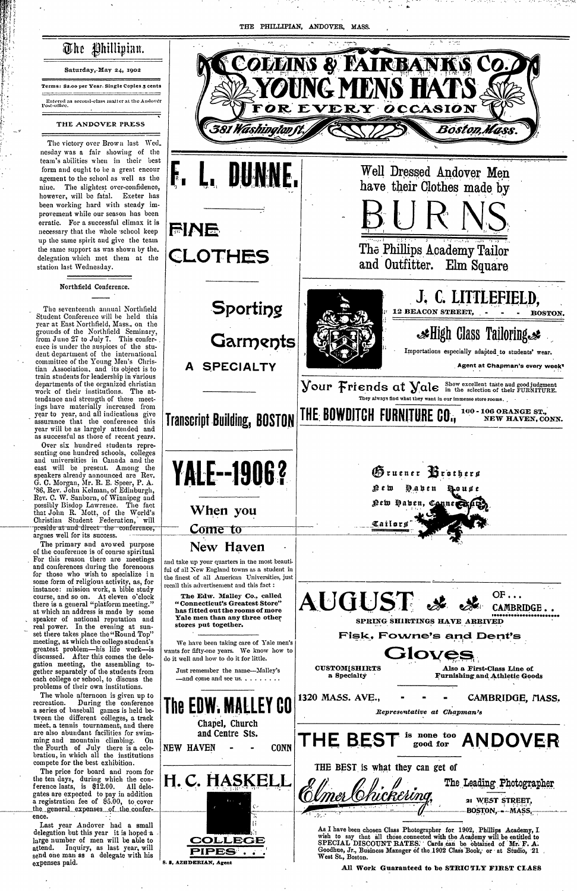**,**I

Terms: \$2.00 per Year. Single Coples 5 cents

The Phillipian. Saturday,-May 24, 1902

## **THE ANDOVER PRESS**

The victory over Brown last Wed. nesday was a fair showing of the team's abilities when in their best form and ought to le a great eneour agement to the school as well as the however, will be fatal. Exeter has been working hard with steady improvement while our season has been erratic. For a successful climax it is necessary that the whole school keep  $\left| \bigcap_{i \in \mathbb{N}} \bigcap_{i \in \mathbb{N}} \right|$ up the same spirit and give the team

### Northfeld Conference.

Over six hundred students representing one hundred schools, colleges and universities in Canada and the east will be present. Among the G. C. Morgan, 3Mr. R. E. Speer, P. A. Rev. C. W. Sanborn, of Winnipeg and preside at and direct the conference, **COME to**  $\frac{1}{2}$  argues well for its success.

of the conference is of conrse spiritual<br>For this reason there are meetings instance: mission work, a bible study real power. In the evening at sunset there takes place the "Round Top" gation meeting, **the** assembling toproblems of their own institutions.\_ tween the different colleges, a track meet, a tennis tournament, and there<br>are also abundant facilities for swim-<br>and Centre Sts. the Fourth of July there is a celebratiou, in which all the institutions gates are expected to pay in addition send one man as a delegate with his  $\begin{array}{c|c}\n\hline\n\text{expenses paid.}\n\end{array}$  s. **s. AZHDERIAN**, Agent

Student Conference will be held this year at East Northfield, Mass., on the grounds of the Northfield Seminary, from June 27 to July 7. This conferdent department of the international tian Association, and its object is to train students for leadership in various<br>departments of the organized christian ings have materially increased from<br>year to year, and all indications give year will be as largely attended and as successful as tlose of recent years.

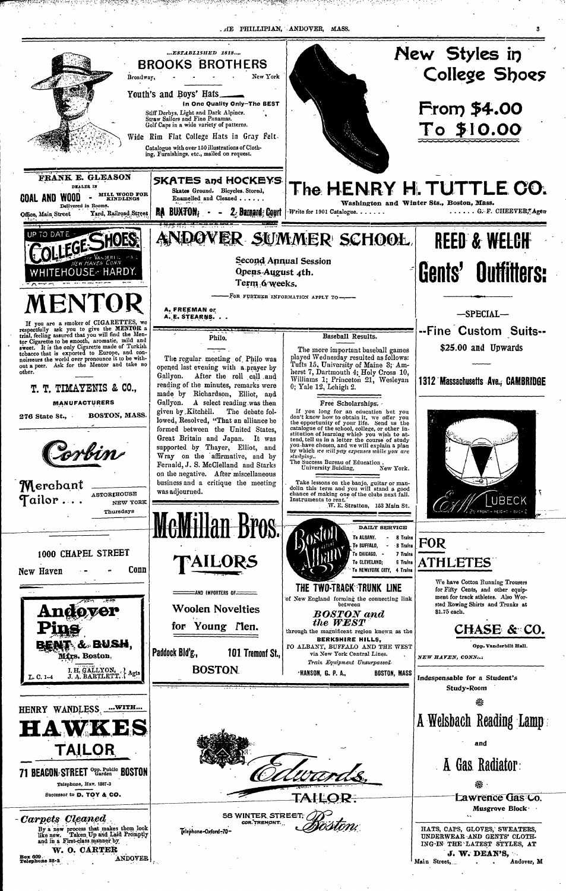. HE PHILLIPIAN, ANDOVER, MASS.



for Young Men CHASE & through the magnificent region known as the 投票 UV. **BERKSHIRE HILLS,** BENT & BUSH, TO ALBANY, BUFFALO AND THE WEST Opp. Vanderbilt Hall. Paddock Bld'g., 101 Tremonf St., via New York Central Lines. Mfrs. Boston, NEW HAVEN, CONN... Train Equipment Unsurpassed I. H. GALLYON, J. Agts<br>J. A. BARTLETT, J. Agts **BOSTON HANSON, G. P. A., BOSTON, MASS** L. C. 1-4 Indespensable for a Student's Study-Room 崇 HENRY WANDLESS. .... WITH... A Welsbach Reading Lamp LA WAS and TAILOR  $\,$  A Gas Radiator: 71 BEACON STREET Opp. Public BOSTON Telephone, Hav. 1887-3 ⋇ Successor to D. TOY & CO. Lawrence Gas Co. Musgrove Block · 58 WINTER STREET. - Carpets Cleaned COR.TREMONT. By a new process that makes them look<br>like new. Taken Up and Laid Promptly HATS, CAPS, GLOVES, SWEATERS, Telephone-Oxford-70like new. UNDERWEAR AND GENTS' CLOTHand in a First-class manner by ING-IN THE LATEST STYLES, AT W. O. CARTER J. W. DEAN'S, **Box 609.** ANDOVER | Telephone 25-2 Main Street,  $\mathcal{L}^{\text{max}}$  , where  $\mathcal{L}^{\text{max}}$ Andover, M